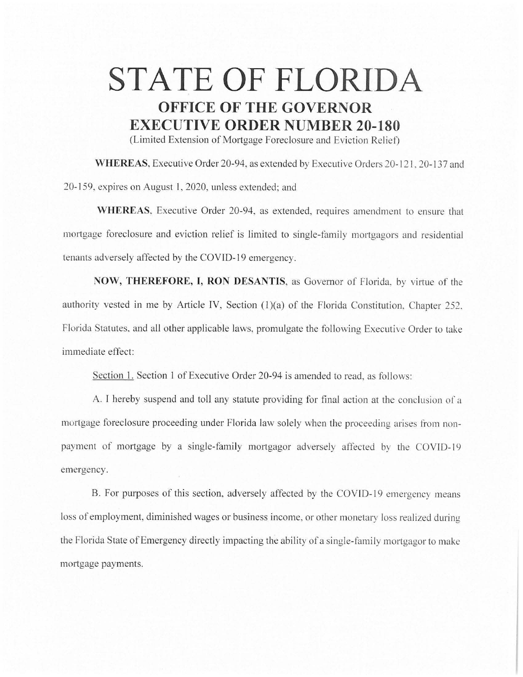## **STATE OF FLORIDA OFFICE OF THE GOVERNOR EXECUTIVE ORDER NUMBER 20-180**

(Limited Extension of Mortgage Foreclosure and Eviction Relief)

WHEREAS, Executive Order 20-94, as extended by Executive Orders 20-121, 20-137 and 20-159. expires on August I, 2020, unless extended; and

**WHEREAS.** Executive Order 20-94, as extended, requires amendment to ensure that mortgage foreclosure and eviction relief is limited to single-family mortgagors and residential tenants adversely affected by the COVID-19 emergency.

**NOW, THEREFORE, I, RON DESANTIS,** as Governor of Florida. by virtue of the authority vested in me by Article IV, Section (1)(a) of the Florida Constitution, Chapter 252, Florida Statutes. and all other applicable laws, promulgate the following Executive Order to take immediate effect:

Section 1. Section 1 of Executive Order 20-94 is amended to read, as follows:

A. I hereby suspend and toll any statute providing for final action at the conclusion of a mortgage foreclosure proceeding under Florida law solely when the proceeding arises from nonpayment of mortgage by a single-family mortgagor adversely affected by the COVID-19 emergency.

B. For purposes of this section, adversely affected by the COVID-19 emergency means loss of employment, diminished wages or business income, or other monetary loss realized during the Florida State of Emergency directly impacting the ability of a single-family mortgagor to make mortgage payments.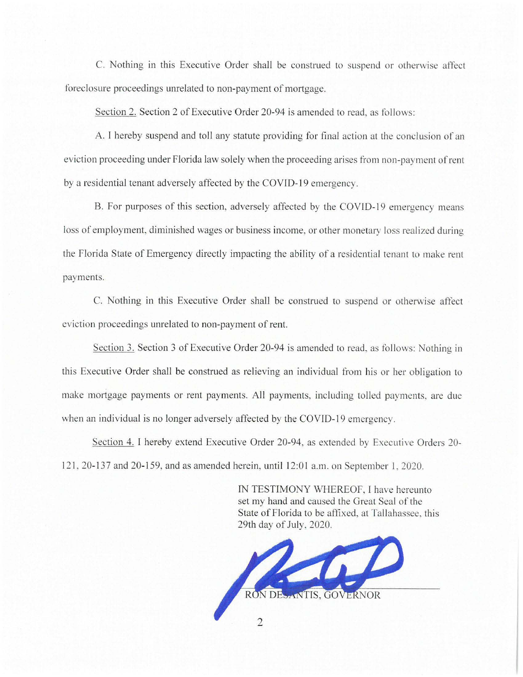C. Nothing in this Executive Order shall be construed to suspend or otherwise affect foreclosure proceedings unrelated to non-payment of mortgage.

Section 2. Section 2 of Executive Order 20-94 is amended to read, as follows:

A. I hereby suspend and toll any statute providing for final action at the conclusion of an eviction proceeding under Florida law solely when the proceeding arises from non-payment of rent by a residential tenant adversely affected by the COVID-19 emergency.

B. For purposes of this section, adversely affected by the COVID-19 emergency means loss of employment, diminished wages or business income, or other monetary loss realized during the Florida State of Emergency directly impacting the ability of a residential tenant to make rent payments.

C. Nothing in this Executive Order shall be construed to suspend or otherwise affect eviction proceedings unrelated to non-payment of rent.

Section 3. Section 3 of Executive Order 20-94 is amended to read. as follows: Nothing in this Executive Order shall be construed as relieving an individual from his or her obligation to make mortgage payments or rent payments. All payments. including tolled payments, are due when an individual is no longer adversely affected by the COVID-19 emergency.

Section 4. I hereby extend Executive Order 20-94, as extended by Executive Orders 20- 121, 20-137 and 20-159, and as amended herein, until 12:01 a.m. on September 1, 2020.

> IN TESTIMONY WHEREOF, I have hereunto set my hand and caused the Great Seal of the State of Florida to be affixed, at Tallahassee. this 29th day of July, 2020.



 $\overline{2}$